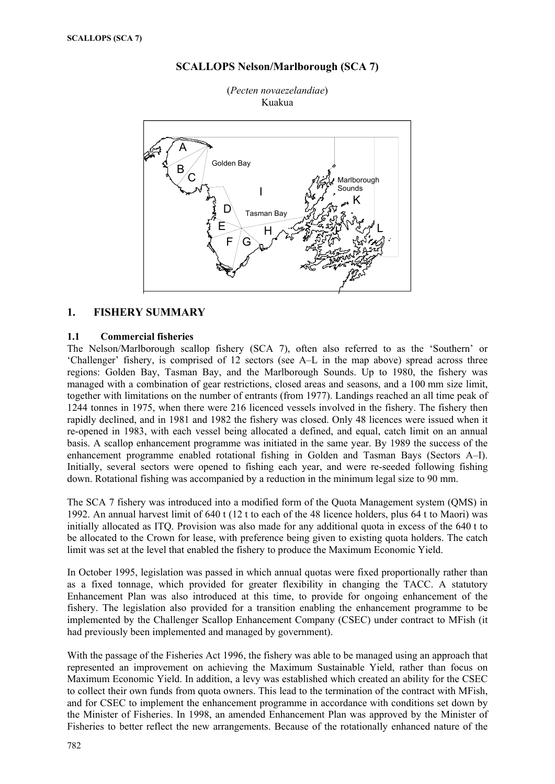



(*Pecten novaezelandiae*) Kuakua

# **1. FISHERY SUMMARY**

### **1.1 Commercial fisheries**

The Nelson/Marlborough scallop fishery (SCA 7), often also referred to as the 'Southern' or 'Challenger' fishery, is comprised of 12 sectors (see A–L in the map above) spread across three regions: Golden Bay, Tasman Bay, and the Marlborough Sounds. Up to 1980, the fishery was managed with a combination of gear restrictions, closed areas and seasons, and a 100 mm size limit, together with limitations on the number of entrants (from 1977). Landings reached an all time peak of 1244 tonnes in 1975, when there were 216 licenced vessels involved in the fishery. The fishery then rapidly declined, and in 1981 and 1982 the fishery was closed. Only 48 licences were issued when it re-opened in 1983, with each vessel being allocated a defined, and equal, catch limit on an annual basis. A scallop enhancement programme was initiated in the same year. By 1989 the success of the enhancement programme enabled rotational fishing in Golden and Tasman Bays (Sectors A–I). Initially, several sectors were opened to fishing each year, and were re-seeded following fishing down. Rotational fishing was accompanied by a reduction in the minimum legal size to 90 mm.

The SCA 7 fishery was introduced into a modified form of the Quota Management system (QMS) in 1992. An annual harvest limit of 640 t (12 t to each of the 48 licence holders, plus 64 t to Maori) was initially allocated as ITQ. Provision was also made for any additional quota in excess of the 640 t to be allocated to the Crown for lease, with preference being given to existing quota holders. The catch limit was set at the level that enabled the fishery to produce the Maximum Economic Yield.

In October 1995, legislation was passed in which annual quotas were fixed proportionally rather than as a fixed tonnage, which provided for greater flexibility in changing the TACC. A statutory Enhancement Plan was also introduced at this time, to provide for ongoing enhancement of the fishery. The legislation also provided for a transition enabling the enhancement programme to be implemented by the Challenger Scallop Enhancement Company (CSEC) under contract to MFish (it had previously been implemented and managed by government).

With the passage of the Fisheries Act 1996, the fishery was able to be managed using an approach that represented an improvement on achieving the Maximum Sustainable Yield, rather than focus on Maximum Economic Yield. In addition, a levy was established which created an ability for the CSEC to collect their own funds from quota owners. This lead to the termination of the contract with MFish, and for CSEC to implement the enhancement programme in accordance with conditions set down by the Minister of Fisheries. In 1998, an amended Enhancement Plan was approved by the Minister of Fisheries to better reflect the new arrangements. Because of the rotationally enhanced nature of the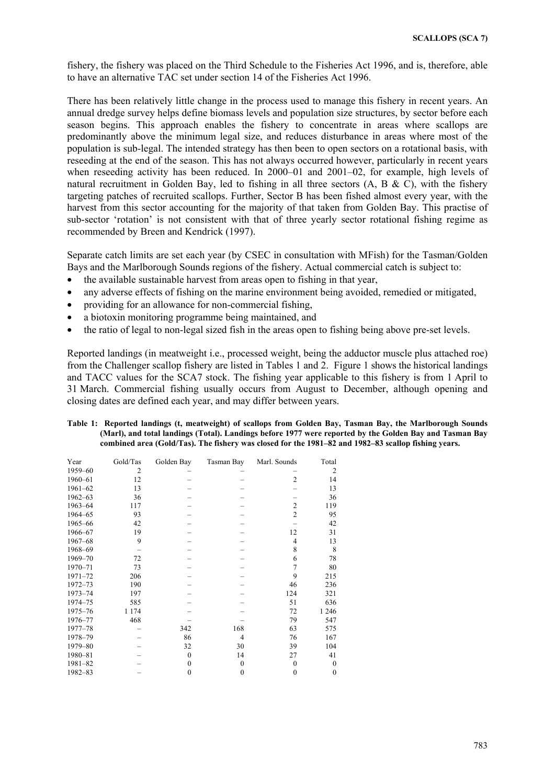fishery, the fishery was placed on the Third Schedule to the Fisheries Act 1996, and is, therefore, able to have an alternative TAC set under section 14 of the Fisheries Act 1996.

There has been relatively little change in the process used to manage this fishery in recent years. An annual dredge survey helps define biomass levels and population size structures, by sector before each season begins. This approach enables the fishery to concentrate in areas where scallops are predominantly above the minimum legal size, and reduces disturbance in areas where most of the population is sub-legal. The intended strategy has then been to open sectors on a rotational basis, with reseeding at the end of the season. This has not always occurred however, particularly in recent years when reseeding activity has been reduced. In 2000–01 and 2001–02, for example, high levels of natural recruitment in Golden Bay, led to fishing in all three sectors  $(A, B & C)$ , with the fishery targeting patches of recruited scallops. Further, Sector B has been fished almost every year, with the harvest from this sector accounting for the majority of that taken from Golden Bay. This practise of sub-sector 'rotation' is not consistent with that of three yearly sector rotational fishing regime as recommended by Breen and Kendrick (1997).

Separate catch limits are set each year (by CSEC in consultation with MFish) for the Tasman/Golden Bays and the Marlborough Sounds regions of the fishery. Actual commercial catch is subject to:

- the available sustainable harvest from areas open to fishing in that year,
- any adverse effects of fishing on the marine environment being avoided, remedied or mitigated,
- providing for an allowance for non-commercial fishing,
- a biotoxin monitoring programme being maintained, and
- the ratio of legal to non-legal sized fish in the areas open to fishing being above pre-set levels.

Reported landings (in meatweight i.e., processed weight, being the adductor muscle plus attached roe) from the Challenger scallop fishery are listed in Tables 1 and 2. Figure 1 shows the historical landings and TACC values for the SCA7 stock. The fishing year applicable to this fishery is from 1 April to 31 March. Commercial fishing usually occurs from August to December, although opening and closing dates are defined each year, and may differ between years.

| Table 1: Reported landings (t, meatweight) of scallops from Golden Bay, Tasman Bay, the Marlborough Sounds |  |
|------------------------------------------------------------------------------------------------------------|--|
| (Marl), and total landings (Total). Landings before 1977 were reported by the Golden Bay and Tasman Bay    |  |
| combined area (Gold/Tas). The fishery was closed for the 1981–82 and 1982–83 scallop fishing vears.        |  |

| Year        | Gold/Tas | Golden Bay   | Tasman Bay   | Marl. Sounds   | Total        |
|-------------|----------|--------------|--------------|----------------|--------------|
| 1959-60     | 2        |              |              |                | 2            |
| 1960-61     | 12       |              |              | $\overline{2}$ | 14           |
| $1961 - 62$ | 13       |              |              |                | 13           |
| $1962 - 63$ | 36       |              |              |                | 36           |
| 1963-64     | 117      |              |              | $\overline{c}$ | 119          |
| 1964-65     | 93       |              |              | $\overline{2}$ | 95           |
| 1965-66     | 42       |              |              |                | 42           |
| 1966-67     | 19       |              |              | 12             | 31           |
| 1967-68     | 9        |              |              | 4              | 13           |
| 1968-69     |          |              |              | 8              | 8            |
| 1969-70     | 72       |              |              | 6              | 78           |
| 1970-71     | 73       |              |              |                | 80           |
| 1971-72     | 206      |              |              | 9              | 215          |
| 1972-73     | 190      |              |              | 46             | 236          |
| 1973-74     | 197      |              |              | 124            | 321          |
| 1974-75     | 585      |              |              | 51             | 636          |
| 1975-76     | 1 1 7 4  |              |              | 72             | 1 2 4 6      |
| 1976-77     | 468      |              |              | 79             | 547          |
| 1977-78     |          | 342          | 168          | 63             | 575          |
| 1978-79     |          | 86           | 4            | 76             | 167          |
| 1979-80     |          | 32           | 30           | 39             | 104          |
| 1980-81     |          | $\mathbf{0}$ | 14           | 27             | 41           |
| 1981-82     |          | 0            | $\mathbf{0}$ | $\Omega$       | $\theta$     |
| 1982-83     |          | 0            | 0            | $\Omega$       | $\mathbf{0}$ |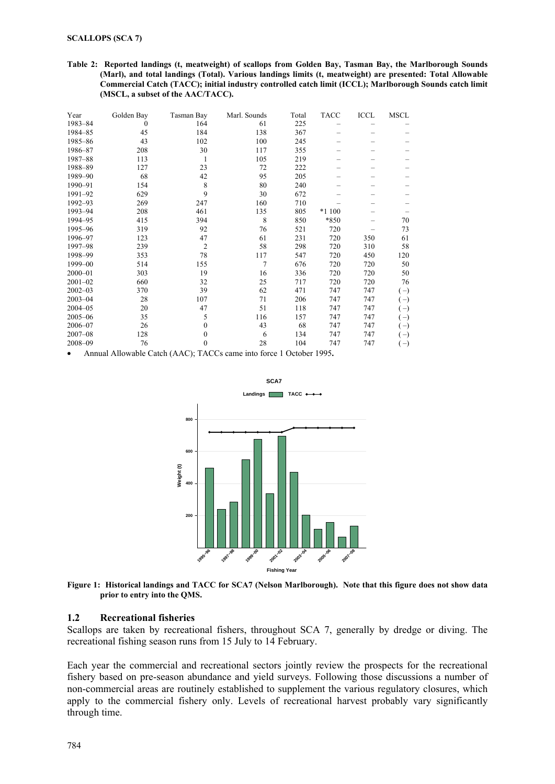**Table 2: Reported landings (t, meatweight) of scallops from Golden Bay, Tasman Bay, the Marlborough Sounds (Marl), and total landings (Total). Various landings limits (t, meatweight) are presented: Total Allowable Commercial Catch (TACC); initial industry controlled catch limit (ICCL); Marlborough Sounds catch limit (MSCL, a subset of the AAC/TACC).**

| Year        | Golden Bay | Tasman Bay     | Marl. Sounds | Total | <b>TACC</b> | <b>ICCL</b> | MSCL  |
|-------------|------------|----------------|--------------|-------|-------------|-------------|-------|
| 1983-84     | 0          | 164            | 61           | 225   |             |             |       |
| 1984-85     | 45         | 184            | 138          | 367   |             |             |       |
| 1985-86     | 43         | 102            | 100          | 245   |             |             |       |
| 1986-87     | 208        | 30             | 117          | 355   |             |             |       |
| 1987-88     | 113        |                | 105          | 219   |             |             |       |
| 1988-89     | 127        | 23             | 72           | 222   |             |             |       |
| 1989-90     | 68         | 42             | 95           | 205   |             |             |       |
| 1990-91     | 154        | 8              | 80           | 240   |             |             |       |
| 1991-92     | 629        | 9              | 30           | 672   |             |             |       |
| 1992-93     | 269        | 247            | 160          | 710   |             |             |       |
| 1993-94     | 208        | 461            | 135          | 805   | *1 100      |             |       |
| 1994-95     | 415        | 394            | 8            | 850   | *850        |             | 70    |
| 1995-96     | 319        | 92             | 76           | 521   | 720         |             | 73    |
| 1996-97     | 123        | 47             | 61           | 231   | 720         | 350         | 61    |
| 1997-98     | 239        | $\overline{2}$ | 58           | 298   | 720         | 310         | 58    |
| 1998-99     | 353        | 78             | 117          | 547   | 720         | 450         | 120   |
| 1999-00     | 514        | 155            | 7            | 676   | 720         | 720         | 50    |
| $2000 - 01$ | 303        | 19             | 16           | 336   | 720         | 720         | 50    |
| $2001 - 02$ | 660        | 32             | 25           | 717   | 720         | 720         | 76    |
| $2002 - 03$ | 370        | 39             | 62           | 471   | 747         | 747         | $(-)$ |
| $2003 - 04$ | 28         | 107            | 71           | 206   | 747         | 747         | $(-)$ |
| $2004 - 05$ | 20         | 47             | 51           | 118   | 747         | 747         | $(-)$ |
| $2005 - 06$ | 35         | 5              | 116          | 157   | 747         | 747         | $(-)$ |
| 2006-07     | 26         | 0              | 43           | 68    | 747         | 747         | $(-)$ |
| $2007 - 08$ | 128        | 0              | 6            | 134   | 747         | 747         | $(-)$ |
| 2008-09     | 76         | 0              | 28           | 104   | 747         | 747         | $(-)$ |

• Annual Allowable Catch (AAC); TACCs came into force 1 October 1995**.** 



**Figure 1: Historical landings and TACC for SCA7 (Nelson Marlborough). Note that this figure does not show data prior to entry into the QMS.** 

### **1.2 Recreational fisheries**

Scallops are taken by recreational fishers, throughout SCA 7, generally by dredge or diving. The recreational fishing season runs from 15 July to 14 February.

Each year the commercial and recreational sectors jointly review the prospects for the recreational fishery based on pre-season abundance and yield surveys. Following those discussions a number of non-commercial areas are routinely established to supplement the various regulatory closures, which apply to the commercial fishery only. Levels of recreational harvest probably vary significantly through time.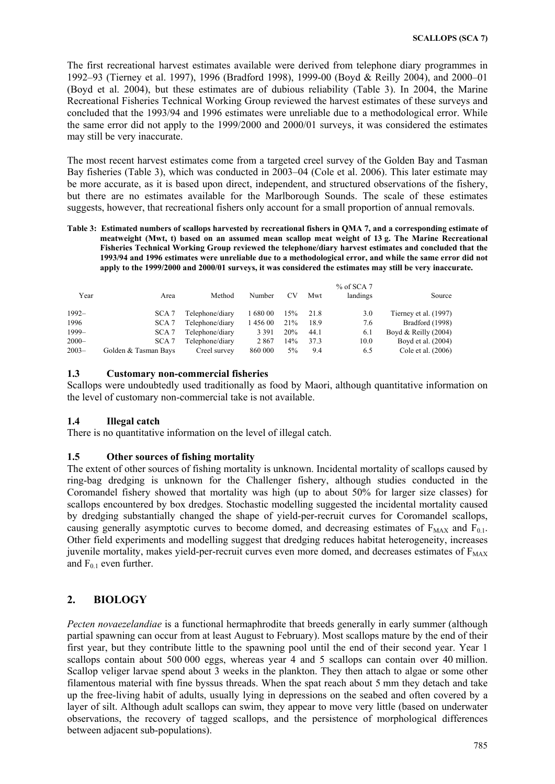The first recreational harvest estimates available were derived from telephone diary programmes in 1992–93 (Tierney et al. 1997), 1996 (Bradford 1998), 1999-00 (Boyd & Reilly 2004), and 2000–01 (Boyd et al. 2004), but these estimates are of dubious reliability (Table 3). In 2004, the Marine Recreational Fisheries Technical Working Group reviewed the harvest estimates of these surveys and concluded that the 1993/94 and 1996 estimates were unreliable due to a methodological error. While the same error did not apply to the 1999/2000 and 2000/01 surveys, it was considered the estimates may still be very inaccurate.

The most recent harvest estimates come from a targeted creel survey of the Golden Bay and Tasman Bay fisheries (Table 3), which was conducted in 2003–04 (Cole et al. 2006). This later estimate may be more accurate, as it is based upon direct, independent, and structured observations of the fishery, but there are no estimates available for the Marlborough Sounds. The scale of these estimates suggests, however, that recreational fishers only account for a small proportion of annual removals.

**Table 3: Estimated numbers of scallops harvested by recreational fishers in QMA 7, and a corresponding estimate of meatweight (Mwt, t) based on an assumed mean scallop meat weight of 13 g. The Marine Recreational Fisheries Technical Working Group reviewed the telephone/diary harvest estimates and concluded that the 1993/94 and 1996 estimates were unreliable due to a methodological error, and while the same error did not apply to the 1999/2000 and 2000/01 surveys, it was considered the estimates may still be very inaccurate.** 

| Year     | Area                 | Method          | Number   | CV  | Mwt  | $%$ of SCA 7<br>landings | Source                 |
|----------|----------------------|-----------------|----------|-----|------|--------------------------|------------------------|
| $1992 -$ | SCA <sub>7</sub>     | Telephone/diary | 1 680 00 | 15% | 21.8 | 3.0                      | Tierney et al. (1997)  |
| 1996     | SCA <sub>7</sub>     | Telephone/diary | 145600   | 21% | 18.9 | 7.6                      | Bradford (1998)        |
| $1999-$  | SCA <sub>7</sub>     | Telephone/diary | 3 3 9 1  | 20% | 44.1 | 6.1                      | Boyd & Reilly $(2004)$ |
| $2000 -$ | SCA <sub>7</sub>     | Telephone/diary | 2867     | 14% | 37.3 | 10.0                     | Boyd et al. (2004)     |
| $2003 -$ | Golden & Tasman Bays | Creel survey    | 860 000  | 5%  | 9.4  | 6.5                      | Cole et al. (2006)     |

### **1.3 Customary non-commercial fisheries**

Scallops were undoubtedly used traditionally as food by Maori, although quantitative information on the level of customary non-commercial take is not available.

### **1.4 Illegal catch**

There is no quantitative information on the level of illegal catch.

### **1.5 Other sources of fishing mortality**

The extent of other sources of fishing mortality is unknown. Incidental mortality of scallops caused by ring-bag dredging is unknown for the Challenger fishery, although studies conducted in the Coromandel fishery showed that mortality was high (up to about 50% for larger size classes) for scallops encountered by box dredges. Stochastic modelling suggested the incidental mortality caused by dredging substantially changed the shape of yield-per-recruit curves for Coromandel scallops, causing generally asymptotic curves to become domed, and decreasing estimates of  $F_{MAX}$  and  $F_{0.1}$ . Other field experiments and modelling suggest that dredging reduces habitat heterogeneity, increases juvenile mortality, makes yield-per-recruit curves even more domed, and decreases estimates of  $F_{MAX}$ and  $F_{0.1}$  even further.

### **2. BIOLOGY**

*Pecten novaezelandiae* is a functional hermaphrodite that breeds generally in early summer (although partial spawning can occur from at least August to February). Most scallops mature by the end of their first year, but they contribute little to the spawning pool until the end of their second year. Year 1 scallops contain about 500 000 eggs, whereas year 4 and 5 scallops can contain over 40 million. Scallop veliger larvae spend about 3 weeks in the plankton. They then attach to algae or some other filamentous material with fine byssus threads. When the spat reach about 5 mm they detach and take up the free-living habit of adults, usually lying in depressions on the seabed and often covered by a layer of silt. Although adult scallops can swim, they appear to move very little (based on underwater observations, the recovery of tagged scallops, and the persistence of morphological differences between adjacent sub-populations).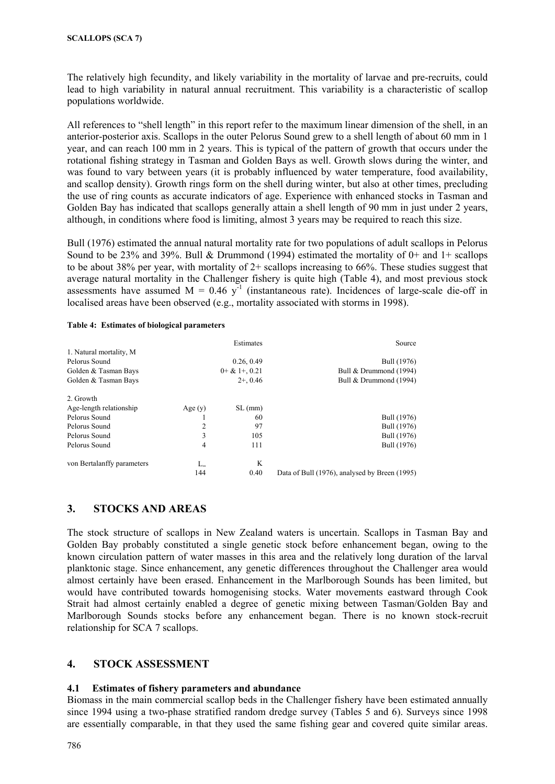The relatively high fecundity, and likely variability in the mortality of larvae and pre-recruits, could lead to high variability in natural annual recruitment. This variability is a characteristic of scallop populations worldwide.

All references to "shell length" in this report refer to the maximum linear dimension of the shell, in an anterior-posterior axis. Scallops in the outer Pelorus Sound grew to a shell length of about 60 mm in 1 year, and can reach 100 mm in 2 years. This is typical of the pattern of growth that occurs under the rotational fishing strategy in Tasman and Golden Bays as well. Growth slows during the winter, and was found to vary between years (it is probably influenced by water temperature, food availability, and scallop density). Growth rings form on the shell during winter, but also at other times, precluding the use of ring counts as accurate indicators of age. Experience with enhanced stocks in Tasman and Golden Bay has indicated that scallops generally attain a shell length of 90 mm in just under 2 years, although, in conditions where food is limiting, almost 3 years may be required to reach this size.

Bull (1976) estimated the annual natural mortality rate for two populations of adult scallops in Pelorus Sound to be 23% and 39%. Bull & Drummond (1994) estimated the mortality of  $0+$  and  $1+$  scallops to be about 38% per year, with mortality of 2+ scallops increasing to 66%. These studies suggest that average natural mortality in the Challenger fishery is quite high (Table 4), and most previous stock assessments have assumed  $M = 0.46$  y<sup>-1</sup> (instantaneous rate). Incidences of large-scale die-off in localised areas have been observed (e.g., mortality associated with storms in 1998).

#### **Table 4: Estimates of biological parameters**

|                            |              | Estimates    | Source                                        |
|----------------------------|--------------|--------------|-----------------------------------------------|
| 1. Natural mortality, M    |              |              |                                               |
| Pelorus Sound              |              | 0.26, 0.49   | Bull (1976)                                   |
| Golden & Tasman Bays       |              | $0+&1+,0.21$ | Bull & Drummond (1994)                        |
| Golden & Tasman Bays       |              | $2+, 0.46$   | Bull & Drummond (1994)                        |
| 2. Growth                  |              |              |                                               |
| Age-length relationship    | Age $(y)$    | SL(mm)       |                                               |
| Pelorus Sound              |              | 60           | Bull (1976)                                   |
| Pelorus Sound              | 2            | 97           | Bull (1976)                                   |
| Pelorus Sound              | 3            | 105          | Bull (1976)                                   |
| Pelorus Sound              | 4            | 111          | Bull (1976)                                   |
| von Bertalanffy parameters | $L_{\infty}$ | K            |                                               |
|                            | 144          | 0.40         | Data of Bull (1976), analysed by Breen (1995) |

## **3. STOCKS AND AREAS**

The stock structure of scallops in New Zealand waters is uncertain. Scallops in Tasman Bay and Golden Bay probably constituted a single genetic stock before enhancement began, owing to the known circulation pattern of water masses in this area and the relatively long duration of the larval planktonic stage. Since enhancement, any genetic differences throughout the Challenger area would almost certainly have been erased. Enhancement in the Marlborough Sounds has been limited, but would have contributed towards homogenising stocks. Water movements eastward through Cook Strait had almost certainly enabled a degree of genetic mixing between Tasman/Golden Bay and Marlborough Sounds stocks before any enhancement began. There is no known stock-recruit relationship for SCA 7 scallops.

## **4. STOCK ASSESSMENT**

### **4.1 Estimates of fishery parameters and abundance**

Biomass in the main commercial scallop beds in the Challenger fishery have been estimated annually since 1994 using a two-phase stratified random dredge survey (Tables 5 and 6). Surveys since 1998 are essentially comparable, in that they used the same fishing gear and covered quite similar areas.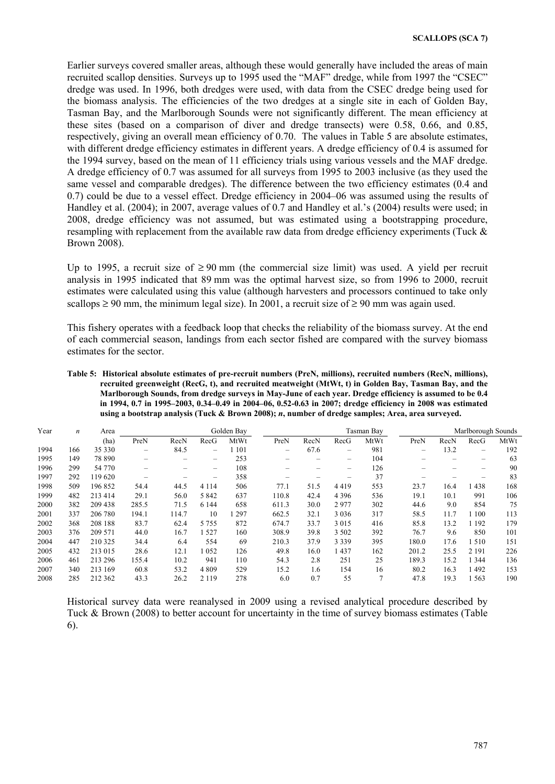Earlier surveys covered smaller areas, although these would generally have included the areas of main recruited scallop densities. Surveys up to 1995 used the "MAF" dredge, while from 1997 the "CSEC" dredge was used. In 1996, both dredges were used, with data from the CSEC dredge being used for the biomass analysis. The efficiencies of the two dredges at a single site in each of Golden Bay, Tasman Bay, and the Marlborough Sounds were not significantly different. The mean efficiency at these sites (based on a comparison of diver and dredge transects) were 0.58, 0.66, and 0.85, respectively, giving an overall mean efficiency of 0.70. The values in Table 5 are absolute estimates, with different dredge efficiency estimates in different years. A dredge efficiency of 0.4 is assumed for the 1994 survey, based on the mean of 11 efficiency trials using various vessels and the MAF dredge. A dredge efficiency of 0.7 was assumed for all surveys from 1995 to 2003 inclusive (as they used the same vessel and comparable dredges). The difference between the two efficiency estimates (0.4 and 0.7) could be due to a vessel effect. Dredge efficiency in 2004–06 was assumed using the results of Handley et al. (2004); in 2007, average values of 0.7 and Handley et al.'s (2004) results were used; in 2008, dredge efficiency was not assumed, but was estimated using a bootstrapping procedure. resampling with replacement from the available raw data from dredge efficiency experiments (Tuck & Brown 2008).

Up to 1995, a recruit size of  $\geq 90$  mm (the commercial size limit) was used. A yield per recruit analysis in 1995 indicated that 89 mm was the optimal harvest size, so from 1996 to 2000, recruit estimates were calculated using this value (although harvesters and processors continued to take only scallops  $\geq 90$  mm, the minimum legal size). In 2001, a recruit size of  $\geq 90$  mm was again used.

This fishery operates with a feedback loop that checks the reliability of the biomass survey. At the end of each commercial season, landings from each sector fished are compared with the survey biomass estimates for the sector.

**Table 5: Historical absolute estimates of pre-recruit numbers (PreN, millions), recruited numbers (RecN, millions), recruited greenweight (RecG, t), and recruited meatweight (MtWt, t) in Golden Bay, Tasman Bay, and the Marlborough Sounds, from dredge surveys in May-June of each year. Dredge efficiency is assumed to be 0.4 in 1994, 0.7 in 1995–2003, 0.34–0.49 in 2004–06, 0.52-0.63 in 2007; dredge efficiency in 2008 was estimated using a bootstrap analysis (Tuck & Brown 2008);** *n***, number of dredge samples; Area, area surveyed.** 

| Year | n   | Area    |       |       |                                | Golden Bay |                          |      |                                                                           | Tasman Bay |       |      | Marlborough Sounds |      |
|------|-----|---------|-------|-------|--------------------------------|------------|--------------------------|------|---------------------------------------------------------------------------|------------|-------|------|--------------------|------|
|      |     | (ha)    | PreN  | RecN  | RecG                           | MtWt       | PreN                     | RecN | RecG                                                                      | MtWt       | PreN  | RecN | RecG               | MtWt |
| 1994 | 166 | 35 330  | -     | 84.5  | $\qquad \qquad \longleftarrow$ | 1 1 0 1    | $\overline{\phantom{0}}$ | 67.6 | -                                                                         | 981        | -     | 13.2 | -                  | 192  |
| 1995 | 149 | 78 890  |       | -     | $\overline{\phantom{0}}$       | 253        |                          |      | $\hspace{1.0cm} \rule{1.5cm}{0.15cm} \hspace{1.0cm} \rule{1.5cm}{0.15cm}$ | 104        |       |      | -                  | 63   |
| 1996 | 299 | 54 770  |       |       | $\qquad \qquad \longleftarrow$ | 108        |                          |      | $\overline{\phantom{m}}$                                                  | 126        |       |      | -                  | 90   |
| 1997 | 292 | 119 620 |       |       | $\overline{\phantom{0}}$       | 358        |                          |      | -                                                                         | 37         |       |      |                    | 83   |
| 1998 | 509 | 196852  | 54.4  | 44.5  | 4 1 1 4                        | 506        | 77.1                     | 51.5 | 4419                                                                      | 553        | 23.7  | 16.4 | 438                | 168  |
| 1999 | 482 | 213 414 | 29.1  | 56.0  | 5 8 4 2                        | 637        | 110.8                    | 42.4 | 4 3 9 6                                                                   | 536        | 19.1  | 10.1 | 991                | 106  |
| 2000 | 382 | 209 438 | 285.5 | 71.5  | 6 1 4 4                        | 658        | 611.3                    | 30.0 | 2977                                                                      | 302        | 44.6  | 9.0  | 854                | 75   |
| 2001 | 337 | 206 780 | 194.1 | 114.7 | 10                             | 297        | 662.5                    | 32.1 | 3 0 3 6                                                                   | 317        | 58.5  | 11.7 | 1 100              | 113  |
| 2002 | 368 | 208 188 | 83.7  | 62.4  | 5 7 5 5                        | 872        | 674.7                    | 33.7 | 3 0 1 5                                                                   | 416        | 85.8  | 13.2 | 1 1 9 2            | 179  |
| 2003 | 376 | 209 571 | 44.0  | 16.7  | 1527                           | 160        | 308.9                    | 39.8 | 3 5 0 2                                                                   | 392        | 76.7  | 9.6  | 850                | 101  |
| 2004 | 447 | 210 325 | 34.4  | 6.4   | 554                            | 69         | 210.3                    | 37.9 | 3 3 3 9                                                                   | 395        | 180.0 | 17.6 | 1510               | 151  |
| 2005 | 432 | 213 015 | 28.6  | 12.1  | 052                            | 126        | 49.8                     | 16.0 | 437                                                                       | 162        | 201.2 | 25.5 | 2 1 9 1            | 226  |
| 2006 | 461 | 213 296 | 155.4 | 10.2  | 941                            | 110        | 54.3                     | 2.8  | 251                                                                       | 25         | 189.3 | 15.2 | 1 3 4 4            | 136  |
| 2007 | 340 | 213 169 | 60.8  | 53.2  | 4 8 0 9                        | 529        | 15.2                     | 1.6  | 154                                                                       | 16         | 80.2  | 16.3 | 492                | 153  |
| 2008 | 285 | 212 362 | 43.3  | 26.2  | 2 1 1 9                        | 278        | 6.0                      | 0.7  | 55                                                                        |            | 47.8  | 19.3 | 1563               | 190  |

Historical survey data were reanalysed in 2009 using a revised analytical procedure described by Tuck & Brown (2008) to better account for uncertainty in the time of survey biomass estimates (Table 6).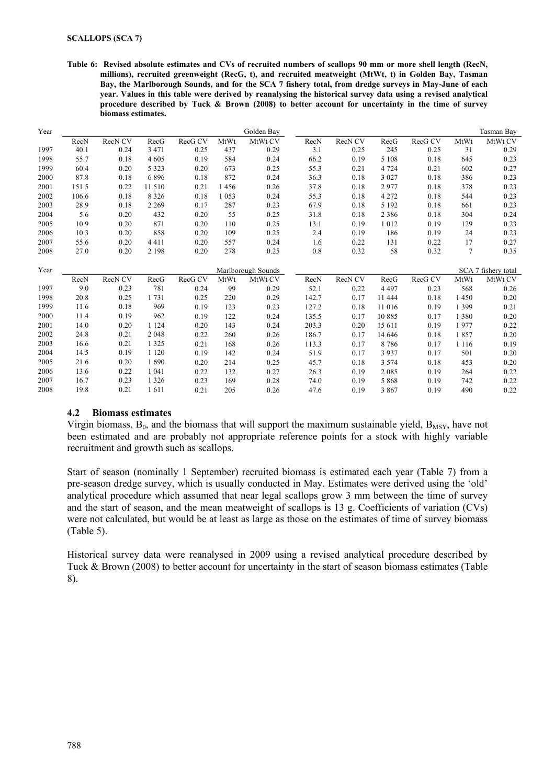**Table 6: Revised absolute estimates and CVs of recruited numbers of scallops 90 mm or more shell length (RecN, millions), recruited greenweight (RecG, t), and recruited meatweight (MtWt, t) in Golden Bay, Tasman Bay, the Marlborough Sounds, and for the SCA 7 fishery total, from dredge surveys in May-June of each year. Values in this table were derived by reanalysing the historical survey data using a revised analytical procedure described by Tuck & Brown (2008) to better account for uncertainty in the time of survey biomass estimates.** 

| Year |       |                    |         |         |      | Golden Bay         |       |         |         |         |         | <b>Tasman Bay</b>   |
|------|-------|--------------------|---------|---------|------|--------------------|-------|---------|---------|---------|---------|---------------------|
|      | RecN  | RecN <sub>CV</sub> | RecG    | RecG CV | MtWt | MtWt CV            | RecN  | RecN CV | RecG    | RecG CV | MtWt    | MtWt CV             |
| 1997 | 40.1  | 0.24               | 3 4 7 1 | 0.25    | 437  | 0.29               | 3.1   | 0.25    | 245     | 0.25    | 31      | 0.29                |
| 1998 | 55.7  | 0.18               | 4 6 0 5 | 0.19    | 584  | 0.24               | 66.2  | 0.19    | 5 1 0 8 | 0.18    | 645     | 0.23                |
| 1999 | 60.4  | 0.20               | 5 3 2 3 | 0.20    | 673  | 0.25               | 55.3  | 0.21    | 4 7 2 4 | 0.21    | 602     | 0.27                |
| 2000 | 87.8  | 0.18               | 6896    | 0.18    | 872  | 0.24               | 36.3  | 0.18    | 3 0 2 7 | 0.18    | 386     | 0.23                |
| 2001 | 151.5 | 0.22               | 11 510  | 0.21    | 1456 | 0.26               | 37.8  | 0.18    | 2977    | 0.18    | 378     | 0.23                |
| 2002 | 106.6 | 0.18               | 8 3 2 6 | 0.18    | 1053 | 0.24               | 55.3  | 0.18    | 4 2 7 2 | 0.18    | 544     | 0.23                |
| 2003 | 28.9  | 0.18               | 2 2 6 9 | 0.17    | 287  | 0.23               | 67.9  | 0.18    | 5 1 9 2 | 0.18    | 661     | 0.23                |
| 2004 | 5.6   | 0.20               | 432     | 0.20    | 55   | 0.25               | 31.8  | 0.18    | 2 3 8 6 | 0.18    | 304     | 0.24                |
| 2005 | 10.9  | 0.20               | 871     | 0.20    | 110  | 0.25               | 13.1  | 0.19    | 1012    | 0.19    | 129     | 0.23                |
| 2006 | 10.3  | 0.20               | 858     | 0.20    | 109  | 0.25               | 2.4   | 0.19    | 186     | 0.19    | 24      | 0.23                |
| 2007 | 55.6  | 0.20               | 4411    | 0.20    | 557  | 0.24               | 1.6   | 0.22    | 131     | 0.22    | 17      | 0.27                |
| 2008 | 27.0  | 0.20               | 2 1 9 8 | 0.20    | 278  | 0.25               | 0.8   | 0.32    | 58      | 0.32    | 7       | 0.35                |
|      |       |                    |         |         |      |                    |       |         |         |         |         |                     |
| Year |       |                    |         |         |      | Marlborough Sounds |       |         |         |         |         | SCA 7 fishery total |
|      | RecN  | RecN CV            | RecG    | RecG CV | MtWt | MtWt CV            | RecN  | RecN CV | RecG    | RecG CV | MtWt    | MtWt CV             |
| 1997 | 9.0   | 0.23               | 781     | 0.24    | 99   | 0.29               | 52.1  | 0.22    | 4 4 9 7 | 0.23    | 568     | 0.26                |
| 1998 | 20.8  | 0.25               | 1731    | 0.25    | 220  | 0.29               | 142.7 | 0.17    | 11 444  | 0.18    | 1450    | 0.20                |
| 1999 | 11.6  | 0.18               | 969     | 0.19    | 123  | 0.23               | 127.2 | 0.18    | 11 016  | 0.19    | 1 3 9 9 | 0.21                |
| 2000 | 11.4  | 0.19               | 962     | 0.19    | 122  | 0.24               | 135.5 | 0.17    | 10885   | 0.17    | 1 3 8 0 | 0.20                |
| 2001 | 14.0  | 0.20               | 1 1 2 4 | 0.20    | 143  | 0.24               | 203.3 | 0.20    | 15 611  | 0.19    | 1977    | 0.22                |
| 2002 | 24.8  | 0.21               | 2 0 4 8 | 0.22    | 260  | 0.26               | 186.7 | 0.17    | 14 646  | 0.18    | 1857    | 0.20                |
| 2003 | 16.6  | 0.21               | 1 3 2 5 | 0.21    | 168  | 0.26               | 113.3 | 0.17    | 8786    | 0.17    | 1 1 1 6 | 0.19                |
| 2004 | 14.5  | 0.19               | 1 1 2 0 | 0.19    | 142  | 0.24               | 51.9  | 0.17    | 3937    | 0.17    | 501     | 0.20                |
| 2005 | 21.6  | 0.20               | 1690    | 0.20    | 214  | 0.25               | 45.7  | 0.18    | 3 5 7 4 | 0.18    | 453     | 0.20                |
| 2006 | 13.6  | 0.22               | 1 0 4 1 | 0.22    | 132  | 0.27               | 26.3  | 0.19    | 2 0 8 5 | 0.19    | 264     | 0.22                |
| 2007 | 16.7  | 0.23               | 1 3 2 6 | 0.23    | 169  | 0.28               | 74.0  | 0.19    | 5 8 6 8 | 0.19    | 742     | 0.22                |

### **4.2 Biomass estimates**

Virgin biomass,  $B_0$ , and the biomass that will support the maximum sustainable yield,  $B_{MSY}$ , have not been estimated and are probably not appropriate reference points for a stock with highly variable recruitment and growth such as scallops.

Start of season (nominally 1 September) recruited biomass is estimated each year (Table 7) from a pre-season dredge survey, which is usually conducted in May. Estimates were derived using the 'old' analytical procedure which assumed that near legal scallops grow 3 mm between the time of survey and the start of season, and the mean meatweight of scallops is 13 g. Coefficients of variation (CVs) were not calculated, but would be at least as large as those on the estimates of time of survey biomass (Table 5).

Historical survey data were reanalysed in 2009 using a revised analytical procedure described by Tuck & Brown (2008) to better account for uncertainty in the start of season biomass estimates (Table 8).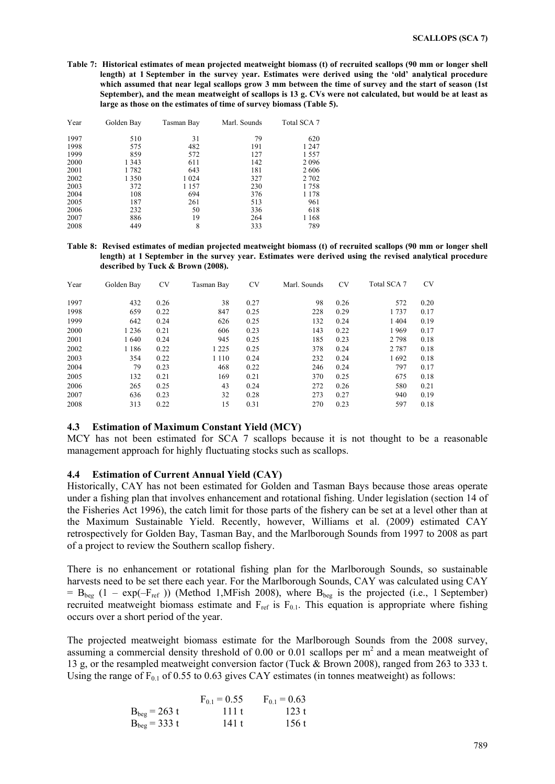**Table 7: Historical estimates of mean projected meatweight biomass (t) of recruited scallops (90 mm or longer shell length) at 1 September in the survey year. Estimates were derived using the 'old' analytical procedure which assumed that near legal scallops grow 3 mm between the time of survey and the start of season (1st September), and the mean meatweight of scallops is 13 g. CVs were not calculated, but would be at least as large as those on the estimates of time of survey biomass (Table 5).** 

| Year | Golden Bay | Tasman Bay | Marl. Sounds | Total SCA 7 |
|------|------------|------------|--------------|-------------|
| 1997 | 510        | 31         | 79           | 620         |
| 1998 | 575        | 482        | 191          | 1 2 4 7     |
| 1999 | 859        | 572        | 127          | 1557        |
| 2000 | 1 3 4 3    | 611        | 142          | 2096        |
| 2001 | 1782       | 643        | 181          | 2606        |
| 2002 | 1 3 5 0    | 1 0 2 4    | 327          | 2 702       |
| 2003 | 372        | 1 157      | 230          | 1758        |
| 2004 | 108        | 694        | 376          | 1 1 7 8     |
| 2005 | 187        | 261        | 513          | 961         |
| 2006 | 232        | 50         | 336          | 618         |
| 2007 | 886        | 19         | 264          | 1 1 6 8     |
| 2008 | 449        | 8          | 333          | 789         |

**Table 8: Revised estimates of median projected meatweight biomass (t) of recruited scallops (90 mm or longer shell length) at 1 September in the survey year. Estimates were derived using the revised analytical procedure described by Tuck & Brown (2008).** 

| Year | Golden Bay | <b>CV</b> | Tasman Bay | CV   | Marl. Sounds | <b>CV</b> | Total SCA 7 | <b>CV</b> |
|------|------------|-----------|------------|------|--------------|-----------|-------------|-----------|
| 1997 | 432        | 0.26      | 38         | 0.27 | 98           | 0.26      | 572         | 0.20      |
| 1998 | 659        | 0.22      | 847        | 0.25 | 228          | 0.29      | 1737        | 0.17      |
| 1999 | 642        | 0.24      | 626        | 0.25 | 132          | 0.24      | 1404        | 0.19      |
| 2000 | 1 2 3 6    | 0.21      | 606        | 0.23 | 143          | 0.22      | 1969        | 0.17      |
| 2001 | 1640       | 0.24      | 945        | 0.25 | 185          | 0.23      | 2 7 9 8     | 0.18      |
| 2002 | 1 1 8 6    | 0.22      | 1 2 2 5    | 0.25 | 378          | 0.24      | 2 7 8 7     | 0.18      |
| 2003 | 354        | 0.22      | 1 1 1 0    | 0.24 | 232          | 0.24      | 1692        | 0.18      |
| 2004 | 79         | 0.23      | 468        | 0.22 | 246          | 0.24      | 797         | 0.17      |
| 2005 | 132        | 0.21      | 169        | 0.21 | 370          | 0.25      | 675         | 0.18      |
| 2006 | 265        | 0.25      | 43         | 0.24 | 272          | 0.26      | 580         | 0.21      |
| 2007 | 636        | 0.23      | 32         | 0.28 | 273          | 0.27      | 940         | 0.19      |
| 2008 | 313        | 0.22      | 15         | 0.31 | 270          | 0.23      | 597         | 0.18      |

### **4.3 Estimation of Maximum Constant Yield (MCY)**

MCY has not been estimated for SCA 7 scallops because it is not thought to be a reasonable management approach for highly fluctuating stocks such as scallops.

### **4.4 Estimation of Current Annual Yield (CAY)**

Historically, CAY has not been estimated for Golden and Tasman Bays because those areas operate under a fishing plan that involves enhancement and rotational fishing. Under legislation (section 14 of the Fisheries Act 1996), the catch limit for those parts of the fishery can be set at a level other than at the Maximum Sustainable Yield. Recently, however, Williams et al. (2009) estimated CAY retrospectively for Golden Bay, Tasman Bay, and the Marlborough Sounds from 1997 to 2008 as part of a project to review the Southern scallop fishery.

There is no enhancement or rotational fishing plan for the Marlborough Sounds, so sustainable harvests need to be set there each year. For the Marlborough Sounds, CAY was calculated using CAY  $= B_{\text{beg}} (1 - \exp(-F_{\text{ref}}))$  (Method 1,MFish 2008), where  $B_{\text{beg}}$  is the projected (i.e., 1 September) recruited meatweight biomass estimate and  $F_{ref}$  is  $F_{0.1}$ . This equation is appropriate where fishing occurs over a short period of the year.

The projected meatweight biomass estimate for the Marlborough Sounds from the 2008 survey, assuming a commercial density threshold of  $0.00$  or  $0.01$  scallops per  $m<sup>2</sup>$  and a mean meatweight of 13 g, or the resampled meatweight conversion factor (Tuck & Brown 2008), ranged from 263 to 333 t. Using the range of  $F_{0.1}$  of 0.55 to 0.63 gives CAY estimates (in tonnes meatweight) as follows:

|                   | $F_{0.1} = 0.55$ | $F_{0.1} = 0.63$ |
|-------------------|------------------|------------------|
| $B_{beg} = 263 t$ | 111t             | 123 t            |
| $B_{beg} = 333 t$ | 141 t            | 156 t            |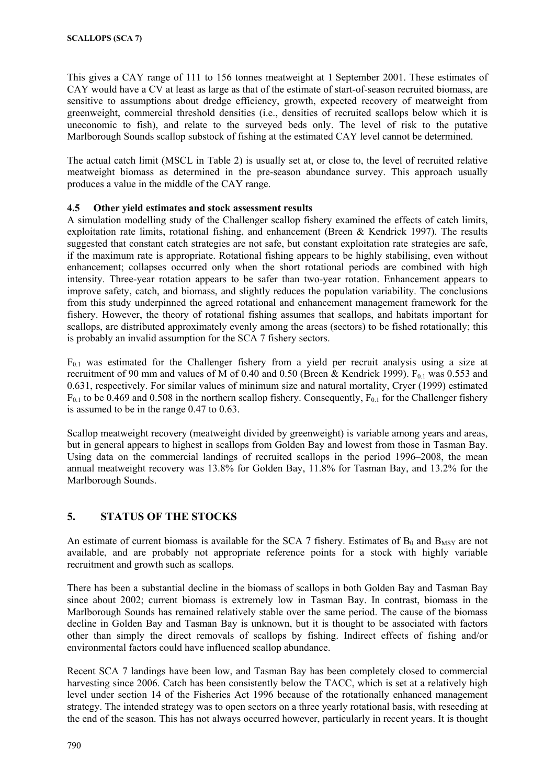This gives a CAY range of 111 to 156 tonnes meatweight at 1 September 2001. These estimates of CAY would have a CV at least as large as that of the estimate of start-of-season recruited biomass, are sensitive to assumptions about dredge efficiency, growth, expected recovery of meatweight from greenweight, commercial threshold densities (i.e., densities of recruited scallops below which it is uneconomic to fish), and relate to the surveyed beds only. The level of risk to the putative Marlborough Sounds scallop substock of fishing at the estimated CAY level cannot be determined.

The actual catch limit (MSCL in Table 2) is usually set at, or close to, the level of recruited relative meatweight biomass as determined in the pre-season abundance survey. This approach usually produces a value in the middle of the CAY range.

### **4.5 Other yield estimates and stock assessment results**

A simulation modelling study of the Challenger scallop fishery examined the effects of catch limits, exploitation rate limits, rotational fishing, and enhancement (Breen & Kendrick 1997). The results suggested that constant catch strategies are not safe, but constant exploitation rate strategies are safe, if the maximum rate is appropriate. Rotational fishing appears to be highly stabilising, even without enhancement; collapses occurred only when the short rotational periods are combined with high intensity. Three-year rotation appears to be safer than two-year rotation. Enhancement appears to improve safety, catch, and biomass, and slightly reduces the population variability. The conclusions from this study underpinned the agreed rotational and enhancement management framework for the fishery. However, the theory of rotational fishing assumes that scallops, and habitats important for scallops, are distributed approximately evenly among the areas (sectors) to be fished rotationally; this is probably an invalid assumption for the SCA 7 fishery sectors.

 $F_{0,1}$  was estimated for the Challenger fishery from a yield per recruit analysis using a size at recruitment of 90 mm and values of M of 0.40 and 0.50 (Breen & Kendrick 1999).  $F_{0.1}$  was 0.553 and 0.631, respectively. For similar values of minimum size and natural mortality, Cryer (1999) estimated  $F_{0.1}$  to be 0.469 and 0.508 in the northern scallop fishery. Consequently,  $F_{0.1}$  for the Challenger fishery is assumed to be in the range 0.47 to 0.63.

Scallop meatweight recovery (meatweight divided by greenweight) is variable among years and areas, but in general appears to highest in scallops from Golden Bay and lowest from those in Tasman Bay. Using data on the commercial landings of recruited scallops in the period 1996–2008, the mean annual meatweight recovery was 13.8% for Golden Bay, 11.8% for Tasman Bay, and 13.2% for the Marlborough Sounds.

## **5. STATUS OF THE STOCKS**

An estimate of current biomass is available for the SCA 7 fishery. Estimates of  $B_0$  and  $B_{MSY}$  are not available, and are probably not appropriate reference points for a stock with highly variable recruitment and growth such as scallops.

There has been a substantial decline in the biomass of scallops in both Golden Bay and Tasman Bay since about 2002; current biomass is extremely low in Tasman Bay. In contrast, biomass in the Marlborough Sounds has remained relatively stable over the same period. The cause of the biomass decline in Golden Bay and Tasman Bay is unknown, but it is thought to be associated with factors other than simply the direct removals of scallops by fishing. Indirect effects of fishing and/or environmental factors could have influenced scallop abundance.

Recent SCA 7 landings have been low, and Tasman Bay has been completely closed to commercial harvesting since 2006. Catch has been consistently below the TACC, which is set at a relatively high level under section 14 of the Fisheries Act 1996 because of the rotationally enhanced management strategy. The intended strategy was to open sectors on a three yearly rotational basis, with reseeding at the end of the season. This has not always occurred however, particularly in recent years. It is thought